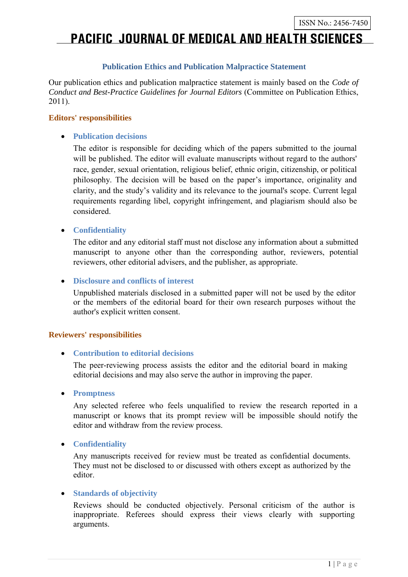# **PACIFIC JOURNAL OF MEDICAL AND HEALTH SCIENCES**

# **Publication Ethics and Publication Malpractice Statement**

Our publication ethics and publication malpractice statement is mainly based on the *Code of Conduct and Best-Practice Guidelines for Journal Editors* (Committee on Publication Ethics, 2011).

## **Editors' responsibilities**

**Publication decisions**

The editor is responsible for deciding which of the papers submitted to the journal will be published. The editor will evaluate manuscripts without regard to the authors' race, gender, sexual orientation, religious belief, ethnic origin, citizenship, or political philosophy. The decision will be based on the paper's importance, originality and clarity, and the study's validity and its relevance to the journal's scope. Current legal requirements regarding libel, copyright infringement, and plagiarism should also be considered.

## **Confidentiality**

The editor and any editorial staff must not disclose any information about a submitted manuscript to anyone other than the corresponding author, reviewers, potential reviewers, other editorial advisers, and the publisher, as appropriate.

## **Disclosure and conflicts of interest**

Unpublished materials disclosed in a submitted paper will not be used by the editor or the members of the editorial board for their own research purposes without the author's explicit written consent.

## **Reviewers' responsibilities**

## **Contribution to editorial decisions**

The peer-reviewing process assists the editor and the editorial board in making editorial decisions and may also serve the author in improving the paper.

## **Promptness**

Any selected referee who feels unqualified to review the research reported in a manuscript or knows that its prompt review will be impossible should notify the editor and withdraw from the review process.

## **Confidentiality**

Any manuscripts received for review must be treated as confidential documents. They must not be disclosed to or discussed with others except as authorized by the editor.

## **Standards of objectivity**

Reviews should be conducted objectively. Personal criticism of the author is inappropriate. Referees should express their views clearly with supporting arguments.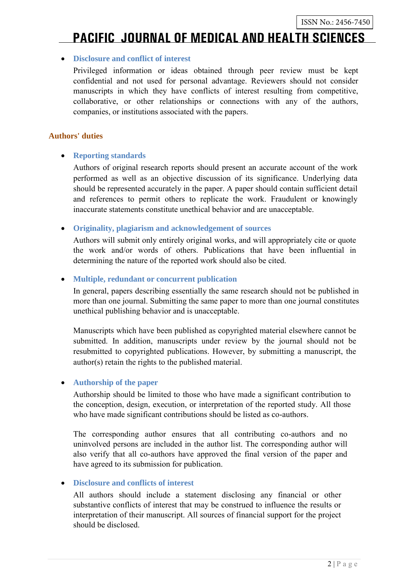# **PACIFIC JOURNAL OF MEDICAL AND HEALTH SCIENCES**

## **Disclosure and conflict of interest**

Privileged information or ideas obtained through peer review must be kept confidential and not used for personal advantage. Reviewers should not consider manuscripts in which they have conflicts of interest resulting from competitive, collaborative, or other relationships or connections with any of the authors, companies, or institutions associated with the papers.

## **Authors' duties**

# **Reporting standards**

Authors of original research reports should present an accurate account of the work performed as well as an objective discussion of its significance. Underlying data should be represented accurately in the paper. A paper should contain sufficient detail and references to permit others to replicate the work. Fraudulent or knowingly inaccurate statements constitute unethical behavior and are unacceptable.

**Originality, plagiarism and acknowledgement of sources**

Authors will submit only entirely original works, and will appropriately cite or quote the work and/or words of others. Publications that have been influential in determining the nature of the reported work should also be cited.

# **Multiple, redundant or concurrent publication**

In general, papers describing essentially the same research should not be published in more than one journal. Submitting the same paper to more than one journal constitutes unethical publishing behavior and is unacceptable.

Manuscripts which have been published as copyrighted material elsewhere cannot be submitted. In addition, manuscripts under review by the journal should not be resubmitted to copyrighted publications. However, by submitting a manuscript, the author(s) retain the rights to the published material.

# **Authorship of the paper**

Authorship should be limited to those who have made a significant contribution to the conception, design, execution, or interpretation of the reported study. All those who have made significant contributions should be listed as co-authors.

The corresponding author ensures that all contributing co-authors and no uninvolved persons are included in the author list. The corresponding author will also verify that all co-authors have approved the final version of the paper and have agreed to its submission for publication.

# **Disclosure and conflicts of interest**

All authors should include a statement disclosing any financial or other substantive conflicts of interest that may be construed to influence the results or interpretation of their manuscript. All sources of financial support for the project should be disclosed.